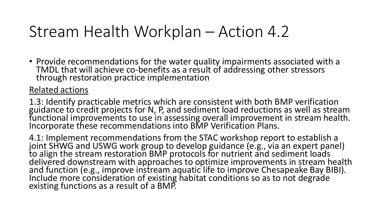### Stream Health Workplan – Action 4.2

• Provide recommendations for the water quality impairments associated with a TMDL that will achieve co-benefits as a result of addressing other stressors through restoration practice implementation

#### Related actions

1.3: Identify practicable metrics which are consistent with both BMP verification guidance to credit projects for N, P, and sediment load reductions as well as stream functional improvements to use in assessing overall improvement in stream health. Incorporate these recommendations into BMP Verification Plans.

4.1: Implement recommendations from the STAC workshop report to establish a joint SHWG and USWG work group to develop guidance (e.g., via an expert panel) to align the stream restoration BMP protocols for nutrient and sediment loads delivered downstream with approaches to optimize improvements in stream health and function (e.g., improve instream aquatic life to improve Chesapeake Bay BIBI). Include more consideration of existing habitat conditions so as to not degrade existing functions as a result of a BMP.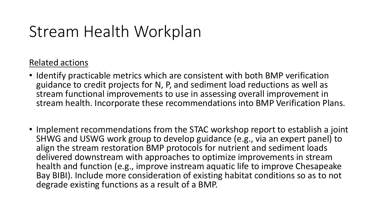## Stream Health Workplan

#### Related actions

- Identify practicable metrics which are consistent with both BMP verification guidance to credit projects for N, P, and sediment load reductions as well as stream functional improvements to use in assessing overall improvement in stream health. Incorporate these recommendations into BMP Verification Plans.
- Implement recommendations from the STAC workshop report to establish a joint SHWG and USWG work group to develop guidance (e.g., via an expert panel) to align the stream restoration BMP protocols for nutrient and sediment loads delivered downstream with approaches to optimize improvements in stream health and function (e.g., improve instream aquatic life to improve Chesapeake Bay BIBI). Include more consideration of existing habitat conditions so as to not degrade existing functions as a result of a BMP.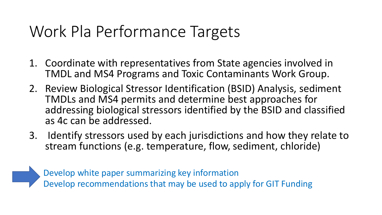## Work Pla Performance Targets

- 1. Coordinate with representatives from State agencies involved in TMDL and MS4 Programs and Toxic Contaminants Work Group.
- 2. Review Biological Stressor Identification (BSID) Analysis, sediment TMDLs and MS4 permits and determine best approaches for addressing biological stressors identified by the BSID and classified as 4c can be addressed.
- 3. Identify stressors used by each jurisdictions and how they relate to stream functions (e.g. temperature, flow, sediment, chloride)



Develop white paper summarizing key information Develop recommendations that may be used to apply for GIT Funding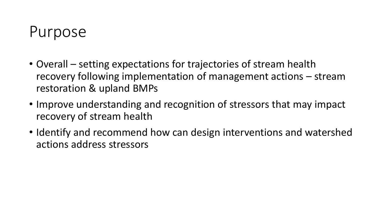### Purpose

- Overall setting expectations for trajectories of stream health recovery following implementation of management actions – stream restoration & upland BMPs
- Improve understanding and recognition of stressors that may impact recovery of stream health
- Identify and recommend how can design interventions and watershed actions address stressors